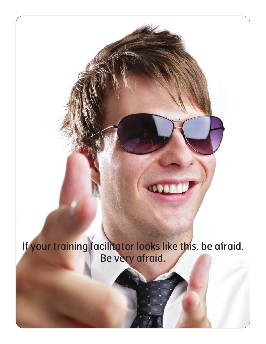

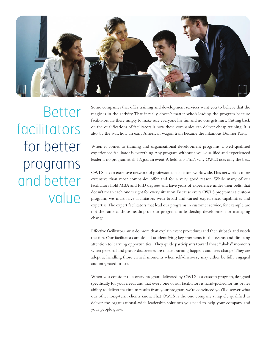

Better facilitators for better programs and better value

Some companies that offer training and development services want you to believe that the magic is in the activity. That it really doesn't matter who's leading the program because facilitators are there simply to make sure everyone has fun and no one gets hurt. Cutting back on the qualifications of facilitators is how these companies can deliver cheap training. It is also, by the way, how an early American wagon train became the infamous Donner Party.

When it comes to training and organizational development programs, a well-qualified experienced facilitator is everything. Any program without a well-qualified and experienced leader is no program at all. It's just an event. A field trip. That's why OWLS uses only the best.

OWLS has an extensive network of professional facilitators worldwide. This network is more extensive than most companies offer and for a very good reason. While many of our facilitators hold MBA and PhD degrees and have years of experience under their belts, that doesn't mean each one is right for every situation. Because every OWLS program is a custom program, we must have facilitators with broad and varied experience, capabilities and expertise. The expert facilitators that lead our programs in customer service, for example, are not the same as those heading up our programs in leadership development or managing change.

Effective facilitators must do more than explain event procedures and then sit back and watch the fun. Our facilitators are skilled at identifying key moments in the events and directing attention to learning opportunities. They guide participants toward those "ah-ha" moments when personal and group discoveries are made, learning happens and lives change. They are adept at handling those critical moments when self-discovery may either be fully engaged and integrated or lost.

When you consider that every program delivered by OWLS is a custom program, designed specifically for your needs and that every one of our facilitators is hand-picked for his or her ability to deliver maximum results from your program, we're convinced you'll discover what our other long-term clients know. That OWLS is the one company uniquely qualified to deliver the organizational-wide leadership solutions you need to help your company and your people grow.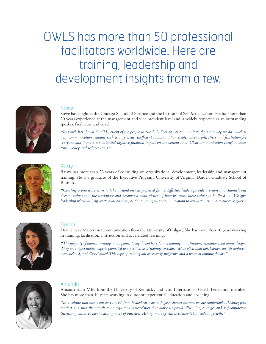## OWLS has more than 50 professional facilitators worldwide. Here are training, leadership and development insights from a few.



#### Steve

Steve has taught at the Chicago School of Finance and the Institute of Self Actualization. He has more than 20 years experience at the management and vice president level and is widely respected as an outstanding speaker, facilitator and coach.

*"Research has shown that 75 percent of the people in our daily lives do not communicate the same way we do, which is why communication remains such a huge issue. Inefficient communication creates more work, stress and frustration for everyone and imposes a substantial negative financial impact on the bottom line. Clear communication therefore saves time, money and reduces stress."*



### Rusty

Rusty has more than 23 years of consulting on organizational development, leadership and management training. He is a graduate of the Executive Program, University of Virginia, Darden Graduate School of Business.

*"Creating a vision forces us to take a stand on our preferred future. Effective leaders provide a vision that channels our deepest values into the workplace and becomes a word-picture of how we want these values to be lived out. We give leadership when we help create a vision that positions our organization in relation to our customers and to our colleagues."*



#### Donna

Donna has a Masters in Communication from the University of Calgary. She has more than 10 years working in training, facilitation, instruction and accelerated learning.

*"The majority of trainers working in companies today do not have formal training in instruction, facilitation, and course design. They are subject matter experts promoted to a position as a 'training specialist.' More often than not, learners are left confused, overwhelmed, and disenchanted. This type of training can be severely ineffective and a waste of training dollars."*



#### Amanda

Amanda has a MEd from the University of Kentucky and is an International Coach Federation member. She has more than 10 years working in outdoor experiential education and coaching.

*"In a culture that meets our every need, from heated car seats to fogless shower mirrors, we are comfortable. Pushing past comfort and into the stretch zone requires characteristics that make us proud: discipline, courage, and self-confidence. Stretching ourselves means asking more of ourselves. Asking more of ourselves inevitably leads to growth."*